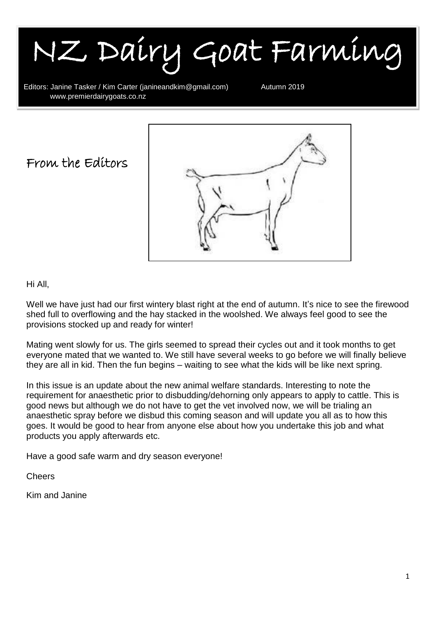NZ Dairy Goat Farming

Editors: Janine Tasker / Kim Carter (janineandkim@gmail.com) Autumn 2019<br>www.premierdairvgoats.co.nz www.premierdairygoats.co.nz

From the Editors



#### Hi All,

I

Well we have just had our first wintery blast right at the end of autumn. It's nice to see the firewood shed full to overflowing and the hay stacked in the woolshed. We always feel good to see the provisions stocked up and ready for winter!

Mating went slowly for us. The girls seemed to spread their cycles out and it took months to get everyone mated that we wanted to. We still have several weeks to go before we will finally believe they are all in kid. Then the fun begins – waiting to see what the kids will be like next spring.

In this issue is an update about the new animal welfare standards. Interesting to note the requirement for anaesthetic prior to disbudding/dehorning only appears to apply to cattle. This is good news but although we do not have to get the vet involved now, we will be trialing an anaesthetic spray before we disbud this coming season and will update you all as to how this goes. It would be good to hear from anyone else about how you undertake this job and what products you apply afterwards etc.

Have a good safe warm and dry season everyone!

Cheers

Kim and Janine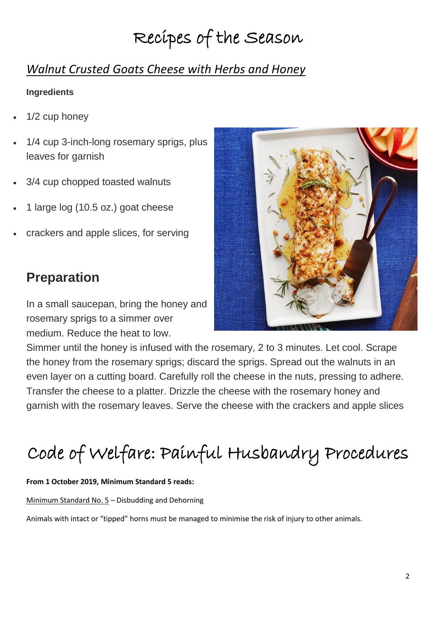# Recipes of the Season

### *Walnut Crusted Goats Cheese with Herbs and Honey*

#### **Ingredients**

- 1/2 cup honey
- 1/4 cup 3-inch-long rosemary sprigs, plus leaves for garnish
- 3/4 cup chopped toasted walnuts
- 1 large log (10.5 oz.) goat cheese
- crackers and apple slices, for serving

### **Preparation**

In a small saucepan, bring the honey and rosemary sprigs to a simmer over medium. Reduce the heat to low.



Simmer until the honey is infused with the rosemary, 2 to 3 minutes. Let cool. Scrape the honey from the rosemary sprigs; discard the sprigs. Spread out the walnuts in an even layer on a cutting board. Carefully roll the cheese in the nuts, pressing to adhere. Transfer the cheese to a platter. Drizzle the cheese with the rosemary honey and garnish with the rosemary leaves. Serve the cheese with the crackers and apple slices

# Code of Welfare: Painful Husbandry Procedures

#### **From 1 October 2019, Minimum Standard 5 reads:**

Minimum Standard No. 5 – Disbudding and Dehorning

Animals with intact or "tipped" horns must be managed to minimise the risk of injury to other animals.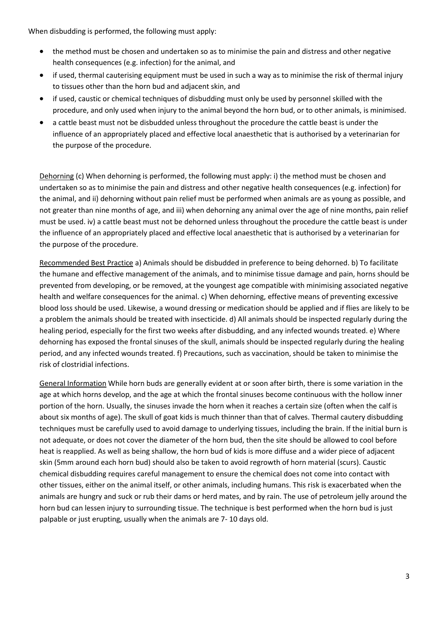When disbudding is performed, the following must apply:

- the method must be chosen and undertaken so as to minimise the pain and distress and other negative health consequences (e.g. infection) for the animal, and
- if used, thermal cauterising equipment must be used in such a way as to minimise the risk of thermal injury to tissues other than the horn bud and adjacent skin, and
- if used, caustic or chemical techniques of disbudding must only be used by personnel skilled with the procedure, and only used when injury to the animal beyond the horn bud, or to other animals, is minimised.
- a cattle beast must not be disbudded unless throughout the procedure the cattle beast is under the influence of an appropriately placed and effective local anaesthetic that is authorised by a veterinarian for the purpose of the procedure.

Dehorning (c) When dehorning is performed, the following must apply: i) the method must be chosen and undertaken so as to minimise the pain and distress and other negative health consequences (e.g. infection) for the animal, and ii) dehorning without pain relief must be performed when animals are as young as possible, and not greater than nine months of age, and iii) when dehorning any animal over the age of nine months, pain relief must be used. iv) a cattle beast must not be dehorned unless throughout the procedure the cattle beast is under the influence of an appropriately placed and effective local anaesthetic that is authorised by a veterinarian for the purpose of the procedure.

Recommended Best Practice a) Animals should be disbudded in preference to being dehorned. b) To facilitate the humane and effective management of the animals, and to minimise tissue damage and pain, horns should be prevented from developing, or be removed, at the youngest age compatible with minimising associated negative health and welfare consequences for the animal. c) When dehorning, effective means of preventing excessive blood loss should be used. Likewise, a wound dressing or medication should be applied and if flies are likely to be a problem the animals should be treated with insecticide. d) All animals should be inspected regularly during the healing period, especially for the first two weeks after disbudding, and any infected wounds treated. e) Where dehorning has exposed the frontal sinuses of the skull, animals should be inspected regularly during the healing period, and any infected wounds treated. f) Precautions, such as vaccination, should be taken to minimise the risk of clostridial infections.

General Information While horn buds are generally evident at or soon after birth, there is some variation in the age at which horns develop, and the age at which the frontal sinuses become continuous with the hollow inner portion of the horn. Usually, the sinuses invade the horn when it reaches a certain size (often when the calf is about six months of age). The skull of goat kids is much thinner than that of calves. Thermal cautery disbudding techniques must be carefully used to avoid damage to underlying tissues, including the brain. If the initial burn is not adequate, or does not cover the diameter of the horn bud, then the site should be allowed to cool before heat is reapplied. As well as being shallow, the horn bud of kids is more diffuse and a wider piece of adjacent skin (5mm around each horn bud) should also be taken to avoid regrowth of horn material (scurs). Caustic chemical disbudding requires careful management to ensure the chemical does not come into contact with other tissues, either on the animal itself, or other animals, including humans. This risk is exacerbated when the animals are hungry and suck or rub their dams or herd mates, and by rain. The use of petroleum jelly around the horn bud can lessen injury to surrounding tissue. The technique is best performed when the horn bud is just palpable or just erupting, usually when the animals are 7- 10 days old.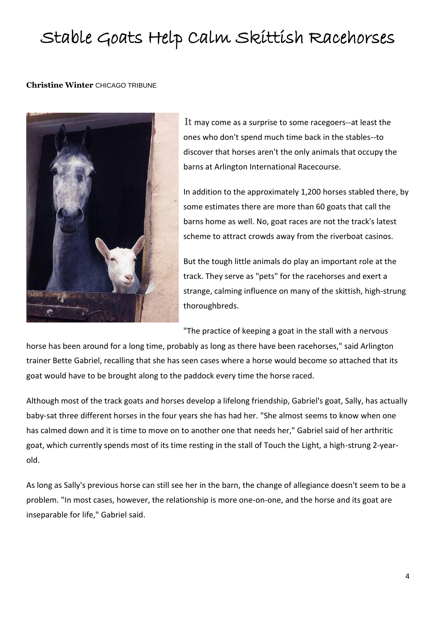## Stable Goats Help Calm Skittish Racehorses

#### **Christine Winter** CHICAGO TRIBUNE



It may come as a surprise to some racegoers--at least the ones who don't spend much time back in the stables--to discover that horses aren't the only animals that occupy the barns at Arlington International Racecourse.

In addition to the approximately 1,200 horses stabled there, by some estimates there are more than 60 goats that call the barns home as well. No, goat races are not the track's latest scheme to attract crowds away from the riverboat casinos.

But the tough little animals do play an important role at the track. They serve as "pets" for the racehorses and exert a strange, calming influence on many of the skittish, high-strung thoroughbreds.

"The practice of keeping a goat in the stall with a nervous

horse has been around for a long time, probably as long as there have been racehorses," said Arlington trainer Bette Gabriel, recalling that she has seen cases where a horse would become so attached that its goat would have to be brought along to the paddock every time the horse raced.

Although most of the track goats and horses develop a lifelong friendship, Gabriel's goat, Sally, has actually baby-sat three different horses in the four years she has had her. "She almost seems to know when one has calmed down and it is time to move on to another one that needs her," Gabriel said of her arthritic goat, which currently spends most of its time resting in the stall of Touch the Light, a high-strung 2-yearold.

As long as Sally's previous horse can still see her in the barn, the change of allegiance doesn't seem to be a problem. "In most cases, however, the relationship is more one-on-one, and the horse and its goat are inseparable for life," Gabriel said.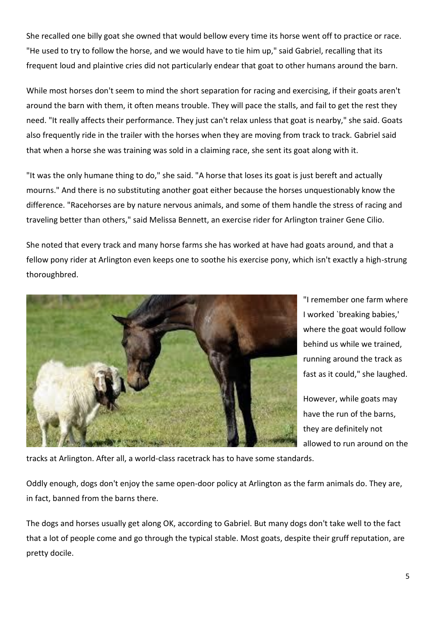She recalled one billy goat she owned that would bellow every time its horse went off to practice or race. "He used to try to follow the horse, and we would have to tie him up," said Gabriel, recalling that its frequent loud and plaintive cries did not particularly endear that goat to other humans around the barn.

While most horses don't seem to mind the short separation for racing and exercising, if their goats aren't around the barn with them, it often means trouble. They will pace the stalls, and fail to get the rest they need. "It really affects their performance. They just can't relax unless that goat is nearby," she said. Goats also frequently ride in the trailer with the horses when they are moving from track to track. Gabriel said that when a horse she was training was sold in a claiming race, she sent its goat along with it.

"It was the only humane thing to do," she said. "A horse that loses its goat is just bereft and actually mourns." And there is no substituting another goat either because the horses unquestionably know the difference. "Racehorses are by nature nervous animals, and some of them handle the stress of racing and traveling better than others," said Melissa Bennett, an exercise rider for Arlington trainer Gene Cilio.

She noted that every track and many horse farms she has worked at have had goats around, and that a fellow pony rider at Arlington even keeps one to soothe his exercise pony, which isn't exactly a high-strung thoroughbred.



"I remember one farm where I worked `breaking babies,' where the goat would follow behind us while we trained, running around the track as fast as it could," she laughed.

However, while goats may have the run of the barns, they are definitely not allowed to run around on the

tracks at Arlington. After all, a world-class racetrack has to have some standards.

Oddly enough, dogs don't enjoy the same open-door policy at Arlington as the farm animals do. They are, in fact, banned from the barns there.

The dogs and horses usually get along OK, according to Gabriel. But many dogs don't take well to the fact that a lot of people come and go through the typical stable. Most goats, despite their gruff reputation, are pretty docile.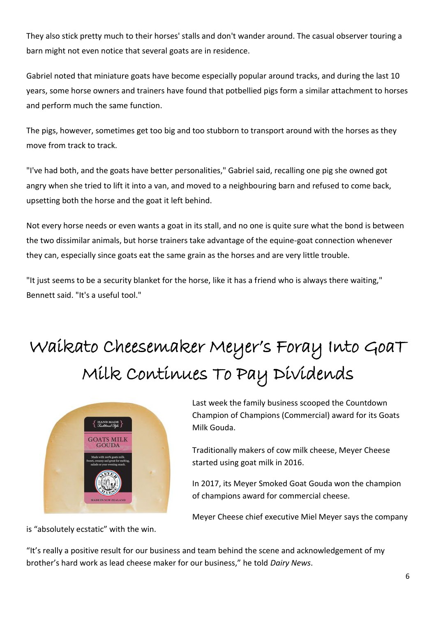They also stick pretty much to their horses' stalls and don't wander around. The casual observer touring a barn might not even notice that several goats are in residence.

Gabriel noted that miniature goats have become especially popular around tracks, and during the last 10 years, some horse owners and trainers have found that potbellied pigs form a similar attachment to horses and perform much the same function.

The pigs, however, sometimes get too big and too stubborn to transport around with the horses as they move from track to track.

"I've had both, and the goats have better personalities," Gabriel said, recalling one pig she owned got angry when she tried to lift it into a van, and moved to a neighbouring barn and refused to come back, upsetting both the horse and the goat it left behind.

Not every horse needs or even wants a goat in its stall, and no one is quite sure what the bond is between the two dissimilar animals, but horse trainers take advantage of the equine-goat connection whenever they can, especially since goats eat the same grain as the horses and are very little trouble.

"It just seems to be a security blanket for the horse, like it has a friend who is always there waiting," Bennett said. "It's a useful tool."

# Waikato Cheesemaker Meyer's Foray Into GoaT Milk Continues To Pay Dividends



Last week the family business scooped the Countdown Champion of Champions (Commercial) award for its Goats Milk Gouda.

Traditionally makers of cow milk cheese, Meyer Cheese started using goat milk in 2016.

In 2017, its Meyer Smoked Goat Gouda won the champion of champions award for commercial cheese.

Meyer Cheese chief executive Miel Meyer says the company

is "absolutely ecstatic" with the win.

"It's really a positive result for our business and team behind the scene and acknowledgement of my brother's hard work as lead cheese maker for our business," he told *Dairy News*.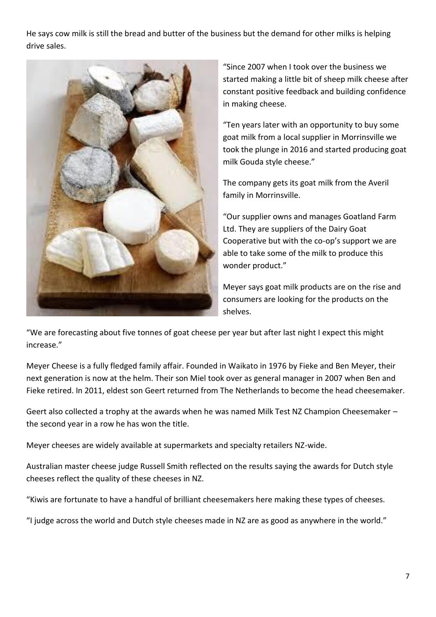He says cow milk is still the bread and butter of the business but the demand for other milks is helping drive sales.



"Since 2007 when I took over the business we started making a little bit of sheep milk cheese after constant positive feedback and building confidence in making cheese.

"Ten years later with an opportunity to buy some goat milk from a local supplier in Morrinsville we took the plunge in 2016 and started producing goat milk Gouda style cheese."

The company gets its goat milk from the Averil family in Morrinsville.

"Our supplier owns and manages Goatland Farm Ltd. They are suppliers of the Dairy Goat Cooperative but with the co-op's support we are able to take some of the milk to produce this wonder product."

Meyer says goat milk products are on the rise and consumers are looking for the products on the shelves.

"We are forecasting about five tonnes of goat cheese per year but after last night I expect this might increase."

Meyer Cheese is a fully fledged family affair. Founded in Waikato in 1976 by Fieke and Ben Meyer, their next generation is now at the helm. Their son Miel took over as general manager in 2007 when Ben and Fieke retired. In 2011, eldest son Geert returned from The Netherlands to become the head cheesemaker.

Geert also collected a trophy at the awards when he was named Milk Test NZ Champion Cheesemaker – the second year in a row he has won the title.

Meyer cheeses are widely available at supermarkets and specialty retailers NZ-wide.

Australian master cheese judge Russell Smith reflected on the results saying the awards for Dutch style cheeses reflect the quality of these cheeses in NZ.

"Kiwis are fortunate to have a handful of brilliant cheesemakers here making these types of cheeses.

"I judge across the world and Dutch style cheeses made in NZ are as good as anywhere in the world."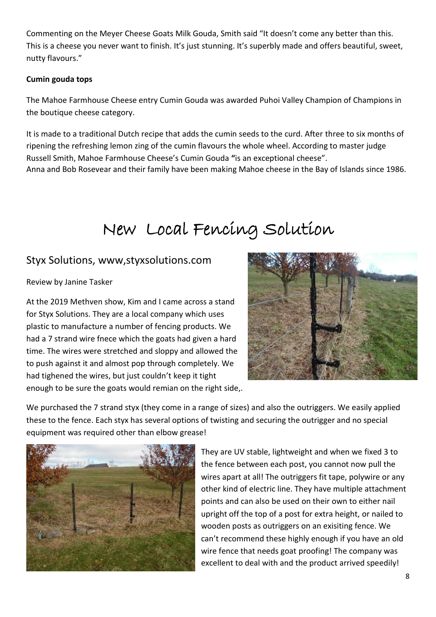Commenting on the Meyer Cheese Goats Milk Gouda, Smith said "It doesn't come any better than this. This is a cheese you never want to finish. It's just stunning. It's superbly made and offers beautiful, sweet, nutty flavours."

#### **Cumin gouda tops**

The Mahoe Farmhouse Cheese entry Cumin Gouda was awarded Puhoi Valley Champion of Champions in the boutique cheese category.

It is made to a traditional Dutch recipe that adds the cumin seeds to the curd. After three to six months of ripening the refreshing lemon zing of the cumin flavours the whole wheel. According to master judge Russell Smith, Mahoe Farmhouse Cheese's Cumin Gouda **"**is an exceptional cheese". Anna and Bob Rosevear and their family have been making Mahoe cheese in the Bay of Islands since 1986.

## New Local Fencing Solution

#### Styx Solutions, www,styxsolutions.com

Review by Janine Tasker

At the 2019 Methven show, Kim and I came across a stand for Styx Solutions. They are a local company which uses plastic to manufacture a number of fencing products. We had a 7 strand wire fnece which the goats had given a hard time. The wires were stretched and sloppy and allowed the to push against it and almost pop through completely. We had tighened the wires, but just couldn't keep it tight enough to be sure the goats would remian on the right side,.



We purchased the 7 strand styx (they come in a range of sizes) and also the outriggers. We easily applied these to the fence. Each styx has several options of twisting and securing the outrigger and no special equipment was required other than elbow grease!



They are UV stable, lightweight and when we fixed 3 to the fence between each post, you cannot now pull the wires apart at all! The outriggers fit tape, polywire or any other kind of electric line. They have multiple attachment points and can also be used on their own to either nail upright off the top of a post for extra height, or nailed to wooden posts as outriggers on an exisiting fence. We can't recommend these highly enough if you have an old wire fence that needs goat proofing! The company was excellent to deal with and the product arrived speedily!